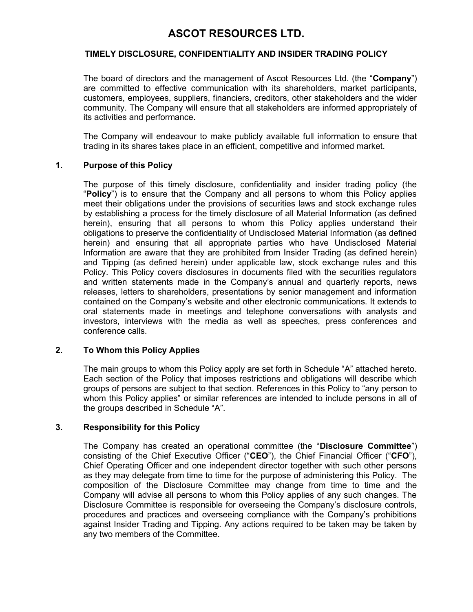# ASCOT RESOURCES LTD.

# TIMELY DISCLOSURE, CONFIDENTIALITY AND INSIDER TRADING POLICY

The board of directors and the management of Ascot Resources Ltd. (the "Company") are committed to effective communication with its shareholders, market participants, customers, employees, suppliers, financiers, creditors, other stakeholders and the wider community. The Company will ensure that all stakeholders are informed appropriately of its activities and performance.

The Company will endeavour to make publicly available full information to ensure that trading in its shares takes place in an efficient, competitive and informed market.

### 1. Purpose of this Policy

The purpose of this timely disclosure, confidentiality and insider trading policy (the "Policy") is to ensure that the Company and all persons to whom this Policy applies meet their obligations under the provisions of securities laws and stock exchange rules by establishing a process for the timely disclosure of all Material Information (as defined herein), ensuring that all persons to whom this Policy applies understand their obligations to preserve the confidentiality of Undisclosed Material Information (as defined herein) and ensuring that all appropriate parties who have Undisclosed Material Information are aware that they are prohibited from Insider Trading (as defined herein) and Tipping (as defined herein) under applicable law, stock exchange rules and this Policy. This Policy covers disclosures in documents filed with the securities regulators and written statements made in the Company's annual and quarterly reports, news releases, letters to shareholders, presentations by senior management and information contained on the Company's website and other electronic communications. It extends to oral statements made in meetings and telephone conversations with analysts and investors, interviews with the media as well as speeches, press conferences and conference calls.

# 2. To Whom this Policy Applies

The main groups to whom this Policy apply are set forth in Schedule "A" attached hereto. Each section of the Policy that imposes restrictions and obligations will describe which groups of persons are subject to that section. References in this Policy to "any person to whom this Policy applies" or similar references are intended to include persons in all of the groups described in Schedule "A".

# 3. Responsibility for this Policy

The Company has created an operational committee (the "Disclosure Committee") consisting of the Chief Executive Officer ("CEO"), the Chief Financial Officer ("CFO"), Chief Operating Officer and one independent director together with such other persons as they may delegate from time to time for the purpose of administering this Policy. The composition of the Disclosure Committee may change from time to time and the Company will advise all persons to whom this Policy applies of any such changes. The Disclosure Committee is responsible for overseeing the Company's disclosure controls, procedures and practices and overseeing compliance with the Company's prohibitions against Insider Trading and Tipping. Any actions required to be taken may be taken by any two members of the Committee.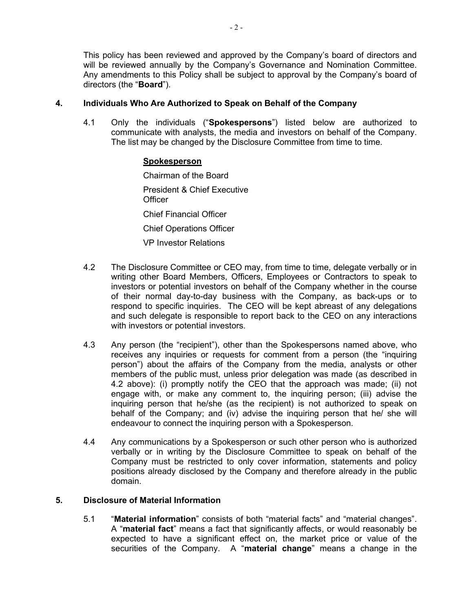This policy has been reviewed and approved by the Company's board of directors and will be reviewed annually by the Company's Governance and Nomination Committee. Any amendments to this Policy shall be subject to approval by the Company's board of directors (the "Board").

# 4. Individuals Who Are Authorized to Speak on Behalf of the Company

4.1 Only the individuals ("Spokespersons") listed below are authorized to communicate with analysts, the media and investors on behalf of the Company. The list may be changed by the Disclosure Committee from time to time.

# Spokesperson

Chairman of the Board President & Chief Executive **Officer** Chief Financial Officer Chief Operations Officer VP Investor Relations

- 4.2 The Disclosure Committee or CEO may, from time to time, delegate verbally or in writing other Board Members, Officers, Employees or Contractors to speak to investors or potential investors on behalf of the Company whether in the course of their normal day-to-day business with the Company, as back-ups or to respond to specific inquiries. The CEO will be kept abreast of any delegations and such delegate is responsible to report back to the CEO on any interactions with investors or potential investors.
- 4.3 Any person (the "recipient"), other than the Spokespersons named above, who receives any inquiries or requests for comment from a person (the "inquiring person") about the affairs of the Company from the media, analysts or other members of the public must, unless prior delegation was made (as described in 4.2 above): (i) promptly notify the CEO that the approach was made; (ii) not engage with, or make any comment to, the inquiring person; (iii) advise the inquiring person that he/she (as the recipient) is not authorized to speak on behalf of the Company; and (iv) advise the inquiring person that he/ she will endeavour to connect the inquiring person with a Spokesperson.
- 4.4 Any communications by a Spokesperson or such other person who is authorized verbally or in writing by the Disclosure Committee to speak on behalf of the Company must be restricted to only cover information, statements and policy positions already disclosed by the Company and therefore already in the public domain.

# 5. Disclosure of Material Information

5.1 "Material information" consists of both "material facts" and "material changes". A "material fact" means a fact that significantly affects, or would reasonably be expected to have a significant effect on, the market price or value of the securities of the Company. A "material change" means a change in the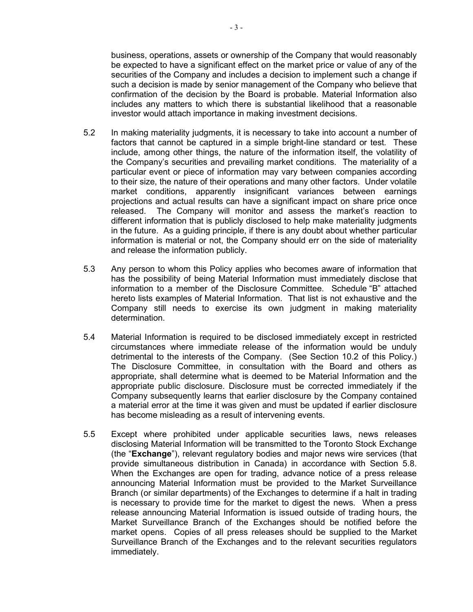business, operations, assets or ownership of the Company that would reasonably be expected to have a significant effect on the market price or value of any of the securities of the Company and includes a decision to implement such a change if such a decision is made by senior management of the Company who believe that confirmation of the decision by the Board is probable. Material Information also includes any matters to which there is substantial likelihood that a reasonable investor would attach importance in making investment decisions.

- 5.2 In making materiality judgments, it is necessary to take into account a number of factors that cannot be captured in a simple bright-line standard or test. These include, among other things, the nature of the information itself, the volatility of the Company's securities and prevailing market conditions. The materiality of a particular event or piece of information may vary between companies according to their size, the nature of their operations and many other factors. Under volatile market conditions, apparently insignificant variances between earnings projections and actual results can have a significant impact on share price once released. The Company will monitor and assess the market's reaction to different information that is publicly disclosed to help make materiality judgments in the future. As a guiding principle, if there is any doubt about whether particular information is material or not, the Company should err on the side of materiality and release the information publicly.
- 5.3 Any person to whom this Policy applies who becomes aware of information that has the possibility of being Material Information must immediately disclose that information to a member of the Disclosure Committee. Schedule "B" attached hereto lists examples of Material Information. That list is not exhaustive and the Company still needs to exercise its own judgment in making materiality determination.
- 5.4 Material Information is required to be disclosed immediately except in restricted circumstances where immediate release of the information would be unduly detrimental to the interests of the Company. (See Section 10.2 of this Policy.) The Disclosure Committee, in consultation with the Board and others as appropriate, shall determine what is deemed to be Material Information and the appropriate public disclosure. Disclosure must be corrected immediately if the Company subsequently learns that earlier disclosure by the Company contained a material error at the time it was given and must be updated if earlier disclosure has become misleading as a result of intervening events.
- 5.5 Except where prohibited under applicable securities laws, news releases disclosing Material Information will be transmitted to the Toronto Stock Exchange (the "Exchange"), relevant regulatory bodies and major news wire services (that provide simultaneous distribution in Canada) in accordance with Section 5.8. When the Exchanges are open for trading, advance notice of a press release announcing Material Information must be provided to the Market Surveillance Branch (or similar departments) of the Exchanges to determine if a halt in trading is necessary to provide time for the market to digest the news. When a press release announcing Material Information is issued outside of trading hours, the Market Surveillance Branch of the Exchanges should be notified before the market opens. Copies of all press releases should be supplied to the Market Surveillance Branch of the Exchanges and to the relevant securities regulators immediately.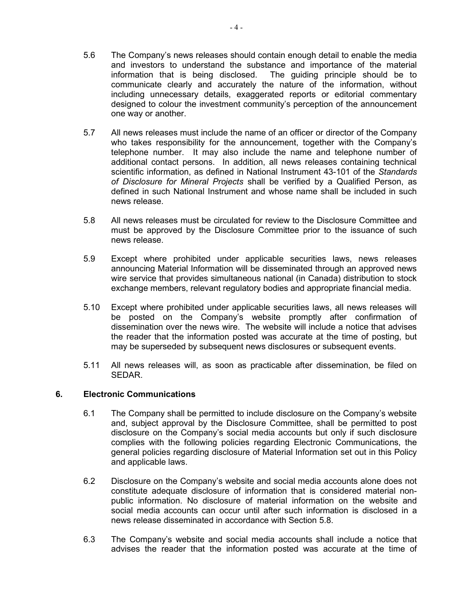- 5.6 The Company's news releases should contain enough detail to enable the media and investors to understand the substance and importance of the material information that is being disclosed. The guiding principle should be to communicate clearly and accurately the nature of the information, without including unnecessary details, exaggerated reports or editorial commentary designed to colour the investment community's perception of the announcement one way or another.
- 5.7 All news releases must include the name of an officer or director of the Company who takes responsibility for the announcement, together with the Company's telephone number. It may also include the name and telephone number of additional contact persons. In addition, all news releases containing technical scientific information, as defined in National Instrument 43-101 of the Standards of Disclosure for Mineral Projects shall be verified by a Qualified Person, as defined in such National Instrument and whose name shall be included in such news release.
- 5.8 All news releases must be circulated for review to the Disclosure Committee and must be approved by the Disclosure Committee prior to the issuance of such news release.
- 5.9 Except where prohibited under applicable securities laws, news releases announcing Material Information will be disseminated through an approved news wire service that provides simultaneous national (in Canada) distribution to stock exchange members, relevant regulatory bodies and appropriate financial media.
- 5.10 Except where prohibited under applicable securities laws, all news releases will be posted on the Company's website promptly after confirmation of dissemination over the news wire. The website will include a notice that advises the reader that the information posted was accurate at the time of posting, but may be superseded by subsequent news disclosures or subsequent events.
- 5.11 All news releases will, as soon as practicable after dissemination, be filed on SEDAR.

# 6. Electronic Communications

- 6.1 The Company shall be permitted to include disclosure on the Company's website and, subject approval by the Disclosure Committee, shall be permitted to post disclosure on the Company's social media accounts but only if such disclosure complies with the following policies regarding Electronic Communications, the general policies regarding disclosure of Material Information set out in this Policy and applicable laws.
- 6.2 Disclosure on the Company's website and social media accounts alone does not constitute adequate disclosure of information that is considered material nonpublic information. No disclosure of material information on the website and social media accounts can occur until after such information is disclosed in a news release disseminated in accordance with Section 5.8.
- 6.3 The Company's website and social media accounts shall include a notice that advises the reader that the information posted was accurate at the time of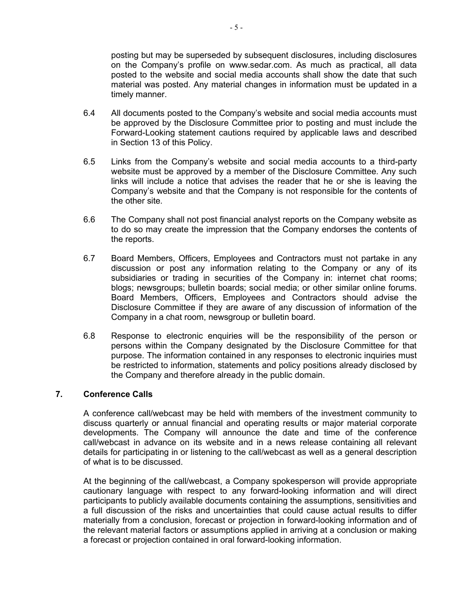posting but may be superseded by subsequent disclosures, including disclosures on the Company's profile on www.sedar.com. As much as practical, all data posted to the website and social media accounts shall show the date that such material was posted. Any material changes in information must be updated in a timely manner.

- 6.4 All documents posted to the Company's website and social media accounts must be approved by the Disclosure Committee prior to posting and must include the Forward-Looking statement cautions required by applicable laws and described in Section 13 of this Policy.
- 6.5 Links from the Company's website and social media accounts to a third-party website must be approved by a member of the Disclosure Committee. Any such links will include a notice that advises the reader that he or she is leaving the Company's website and that the Company is not responsible for the contents of the other site.
- 6.6 The Company shall not post financial analyst reports on the Company website as to do so may create the impression that the Company endorses the contents of the reports.
- 6.7 Board Members, Officers, Employees and Contractors must not partake in any discussion or post any information relating to the Company or any of its subsidiaries or trading in securities of the Company in: internet chat rooms; blogs; newsgroups; bulletin boards; social media; or other similar online forums. Board Members, Officers, Employees and Contractors should advise the Disclosure Committee if they are aware of any discussion of information of the Company in a chat room, newsgroup or bulletin board.
- 6.8 Response to electronic enquiries will be the responsibility of the person or persons within the Company designated by the Disclosure Committee for that purpose. The information contained in any responses to electronic inquiries must be restricted to information, statements and policy positions already disclosed by the Company and therefore already in the public domain.

#### 7. Conference Calls

A conference call/webcast may be held with members of the investment community to discuss quarterly or annual financial and operating results or major material corporate developments. The Company will announce the date and time of the conference call/webcast in advance on its website and in a news release containing all relevant details for participating in or listening to the call/webcast as well as a general description of what is to be discussed.

At the beginning of the call/webcast, a Company spokesperson will provide appropriate cautionary language with respect to any forward-looking information and will direct participants to publicly available documents containing the assumptions, sensitivities and a full discussion of the risks and uncertainties that could cause actual results to differ materially from a conclusion, forecast or projection in forward-looking information and of the relevant material factors or assumptions applied in arriving at a conclusion or making a forecast or projection contained in oral forward-looking information.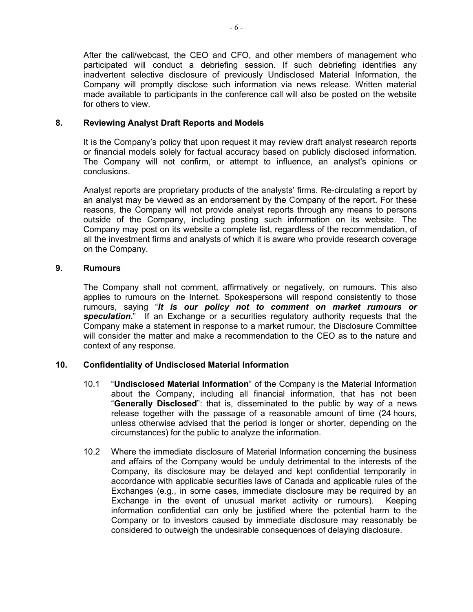After the call/webcast, the CEO and CFO, and other members of management who participated will conduct a debriefing session. If such debriefing identifies any inadvertent selective disclosure of previously Undisclosed Material Information, the Company will promptly disclose such information via news release. Written material made available to participants in the conference call will also be posted on the website for others to view.

# 8. Reviewing Analyst Draft Reports and Models

It is the Company's policy that upon request it may review draft analyst research reports or financial models solely for factual accuracy based on publicly disclosed information. The Company will not confirm, or attempt to influence, an analyst's opinions or conclusions.

Analyst reports are proprietary products of the analysts' firms. Re-circulating a report by an analyst may be viewed as an endorsement by the Company of the report. For these reasons, the Company will not provide analyst reports through any means to persons outside of the Company, including posting such information on its website. The Company may post on its website a complete list, regardless of the recommendation, of all the investment firms and analysts of which it is aware who provide research coverage on the Company.

# 9. Rumours

The Company shall not comment, affirmatively or negatively, on rumours. This also applies to rumours on the Internet. Spokespersons will respond consistently to those rumours, saying "It is our policy not to comment on market rumours or speculation." If an Exchange or a securities regulatory authority requests that the Company make a statement in response to a market rumour, the Disclosure Committee will consider the matter and make a recommendation to the CEO as to the nature and context of any response.

# 10. Confidentiality of Undisclosed Material Information

- 10.1 "Undisclosed Material Information" of the Company is the Material Information about the Company, including all financial information, that has not been "Generally Disclosed": that is, disseminated to the public by way of a news release together with the passage of a reasonable amount of time (24 hours, unless otherwise advised that the period is longer or shorter, depending on the circumstances) for the public to analyze the information.
- 10.2 Where the immediate disclosure of Material Information concerning the business and affairs of the Company would be unduly detrimental to the interests of the Company, its disclosure may be delayed and kept confidential temporarily in accordance with applicable securities laws of Canada and applicable rules of the Exchanges (e.g., in some cases, immediate disclosure may be required by an Exchange in the event of unusual market activity or rumours). Keeping information confidential can only be justified where the potential harm to the Company or to investors caused by immediate disclosure may reasonably be considered to outweigh the undesirable consequences of delaying disclosure.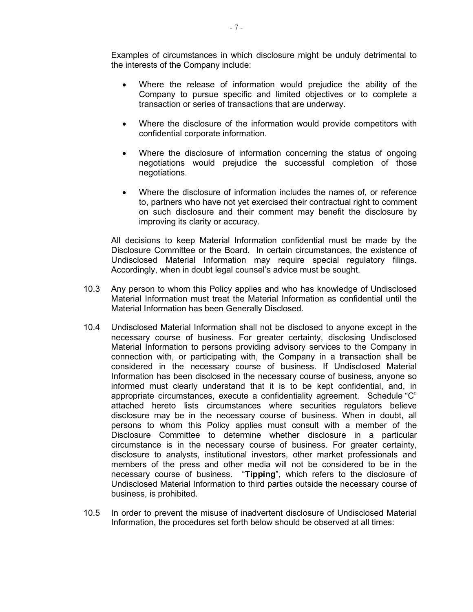Examples of circumstances in which disclosure might be unduly detrimental to the interests of the Company include:

- Where the release of information would prejudice the ability of the Company to pursue specific and limited objectives or to complete a transaction or series of transactions that are underway.
- Where the disclosure of the information would provide competitors with confidential corporate information.
- Where the disclosure of information concerning the status of ongoing negotiations would prejudice the successful completion of those negotiations.
- Where the disclosure of information includes the names of, or reference to, partners who have not yet exercised their contractual right to comment on such disclosure and their comment may benefit the disclosure by improving its clarity or accuracy.

All decisions to keep Material Information confidential must be made by the Disclosure Committee or the Board. In certain circumstances, the existence of Undisclosed Material Information may require special regulatory filings. Accordingly, when in doubt legal counsel's advice must be sought.

- 10.3 Any person to whom this Policy applies and who has knowledge of Undisclosed Material Information must treat the Material Information as confidential until the Material Information has been Generally Disclosed.
- 10.4 Undisclosed Material Information shall not be disclosed to anyone except in the necessary course of business. For greater certainty, disclosing Undisclosed Material Information to persons providing advisory services to the Company in connection with, or participating with, the Company in a transaction shall be considered in the necessary course of business. If Undisclosed Material Information has been disclosed in the necessary course of business, anyone so informed must clearly understand that it is to be kept confidential, and, in appropriate circumstances, execute a confidentiality agreement. Schedule "C" attached hereto lists circumstances where securities regulators believe disclosure may be in the necessary course of business. When in doubt, all persons to whom this Policy applies must consult with a member of the Disclosure Committee to determine whether disclosure in a particular circumstance is in the necessary course of business. For greater certainty, disclosure to analysts, institutional investors, other market professionals and members of the press and other media will not be considered to be in the necessary course of business. "Tipping", which refers to the disclosure of Undisclosed Material Information to third parties outside the necessary course of business, is prohibited.
- 10.5 In order to prevent the misuse of inadvertent disclosure of Undisclosed Material Information, the procedures set forth below should be observed at all times: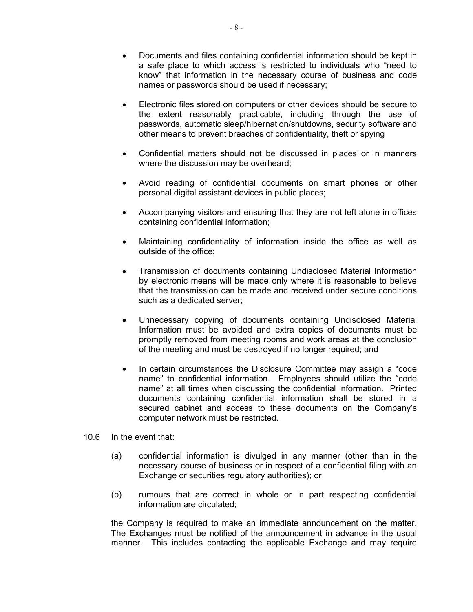- Documents and files containing confidential information should be kept in a safe place to which access is restricted to individuals who "need to know" that information in the necessary course of business and code names or passwords should be used if necessary;
- Electronic files stored on computers or other devices should be secure to the extent reasonably practicable, including through the use of passwords, automatic sleep/hibernation/shutdowns, security software and other means to prevent breaches of confidentiality, theft or spying
- Confidential matters should not be discussed in places or in manners where the discussion may be overheard;
- Avoid reading of confidential documents on smart phones or other personal digital assistant devices in public places;
- Accompanying visitors and ensuring that they are not left alone in offices containing confidential information;
- Maintaining confidentiality of information inside the office as well as outside of the office;
- Transmission of documents containing Undisclosed Material Information by electronic means will be made only where it is reasonable to believe that the transmission can be made and received under secure conditions such as a dedicated server;
- Unnecessary copying of documents containing Undisclosed Material Information must be avoided and extra copies of documents must be promptly removed from meeting rooms and work areas at the conclusion of the meeting and must be destroyed if no longer required; and
- In certain circumstances the Disclosure Committee may assign a "code" name" to confidential information. Employees should utilize the "code name" at all times when discussing the confidential information. Printed documents containing confidential information shall be stored in a secured cabinet and access to these documents on the Company's computer network must be restricted.
- 10.6 In the event that:
	- (a) confidential information is divulged in any manner (other than in the necessary course of business or in respect of a confidential filing with an Exchange or securities regulatory authorities); or
	- (b) rumours that are correct in whole or in part respecting confidential information are circulated;

the Company is required to make an immediate announcement on the matter. The Exchanges must be notified of the announcement in advance in the usual manner. This includes contacting the applicable Exchange and may require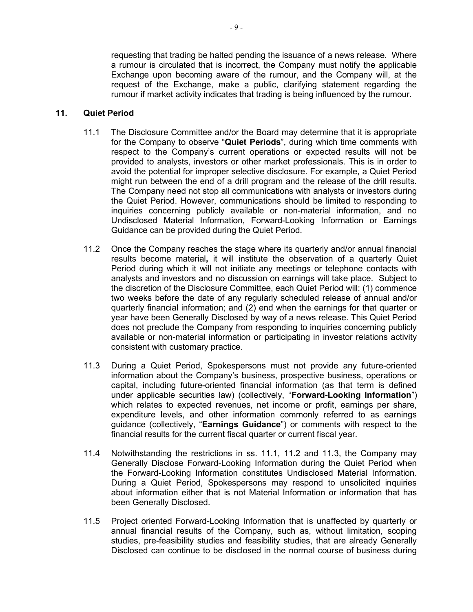requesting that trading be halted pending the issuance of a news release. Where a rumour is circulated that is incorrect, the Company must notify the applicable Exchange upon becoming aware of the rumour, and the Company will, at the request of the Exchange, make a public, clarifying statement regarding the rumour if market activity indicates that trading is being influenced by the rumour.

# 11. Quiet Period

- 11.1 The Disclosure Committee and/or the Board may determine that it is appropriate for the Company to observe "Quiet Periods", during which time comments with respect to the Company's current operations or expected results will not be provided to analysts, investors or other market professionals. This is in order to avoid the potential for improper selective disclosure. For example, a Quiet Period might run between the end of a drill program and the release of the drill results. The Company need not stop all communications with analysts or investors during the Quiet Period. However, communications should be limited to responding to inquiries concerning publicly available or non-material information, and no Undisclosed Material Information, Forward-Looking Information or Earnings Guidance can be provided during the Quiet Period.
- 11.2 Once the Company reaches the stage where its quarterly and/or annual financial results become material, it will institute the observation of a quarterly Quiet Period during which it will not initiate any meetings or telephone contacts with analysts and investors and no discussion on earnings will take place. Subject to the discretion of the Disclosure Committee, each Quiet Period will: (1) commence two weeks before the date of any regularly scheduled release of annual and/or quarterly financial information; and (2) end when the earnings for that quarter or year have been Generally Disclosed by way of a news release. This Quiet Period does not preclude the Company from responding to inquiries concerning publicly available or non-material information or participating in investor relations activity consistent with customary practice.
- 11.3 During a Quiet Period, Spokespersons must not provide any future-oriented information about the Company's business, prospective business, operations or capital, including future-oriented financial information (as that term is defined under applicable securities law) (collectively, "Forward-Looking Information") which relates to expected revenues, net income or profit, earnings per share, expenditure levels, and other information commonly referred to as earnings guidance (collectively, "Earnings Guidance") or comments with respect to the financial results for the current fiscal quarter or current fiscal year.
- 11.4 Notwithstanding the restrictions in ss. 11.1, 11.2 and 11.3, the Company may Generally Disclose Forward-Looking Information during the Quiet Period when the Forward-Looking Information constitutes Undisclosed Material Information. During a Quiet Period, Spokespersons may respond to unsolicited inquiries about information either that is not Material Information or information that has been Generally Disclosed.
- 11.5 Project oriented Forward-Looking Information that is unaffected by quarterly or annual financial results of the Company, such as, without limitation, scoping studies, pre-feasibility studies and feasibility studies, that are already Generally Disclosed can continue to be disclosed in the normal course of business during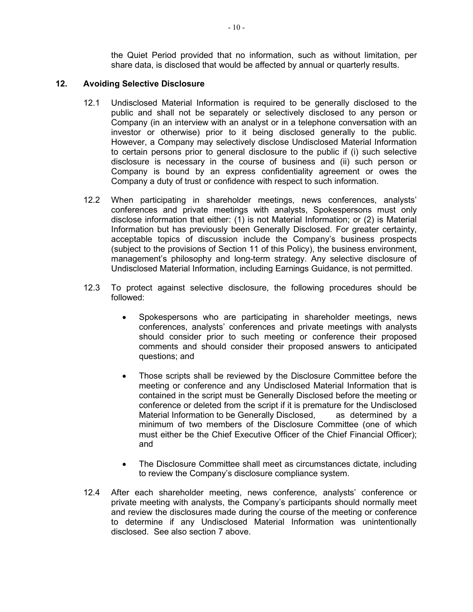the Quiet Period provided that no information, such as without limitation, per share data, is disclosed that would be affected by annual or quarterly results.

#### 12. Avoiding Selective Disclosure

- 12.1 Undisclosed Material Information is required to be generally disclosed to the public and shall not be separately or selectively disclosed to any person or Company (in an interview with an analyst or in a telephone conversation with an investor or otherwise) prior to it being disclosed generally to the public. However, a Company may selectively disclose Undisclosed Material Information to certain persons prior to general disclosure to the public if (i) such selective disclosure is necessary in the course of business and (ii) such person or Company is bound by an express confidentiality agreement or owes the Company a duty of trust or confidence with respect to such information.
- 12.2 When participating in shareholder meetings, news conferences, analysts' conferences and private meetings with analysts, Spokespersons must only disclose information that either: (1) is not Material Information; or (2) is Material Information but has previously been Generally Disclosed. For greater certainty, acceptable topics of discussion include the Company's business prospects (subject to the provisions of Section 11 of this Policy), the business environment, management's philosophy and long-term strategy. Any selective disclosure of Undisclosed Material Information, including Earnings Guidance, is not permitted.
- 12.3 To protect against selective disclosure, the following procedures should be followed:
	- Spokespersons who are participating in shareholder meetings, news conferences, analysts' conferences and private meetings with analysts should consider prior to such meeting or conference their proposed comments and should consider their proposed answers to anticipated questions; and
	- Those scripts shall be reviewed by the Disclosure Committee before the meeting or conference and any Undisclosed Material Information that is contained in the script must be Generally Disclosed before the meeting or conference or deleted from the script if it is premature for the Undisclosed Material Information to be Generally Disclosed, as determined by a minimum of two members of the Disclosure Committee (one of which must either be the Chief Executive Officer of the Chief Financial Officer); and
	- The Disclosure Committee shall meet as circumstances dictate, including to review the Company's disclosure compliance system.
- 12.4 After each shareholder meeting, news conference, analysts' conference or private meeting with analysts, the Company's participants should normally meet and review the disclosures made during the course of the meeting or conference to determine if any Undisclosed Material Information was unintentionally disclosed. See also section 7 above.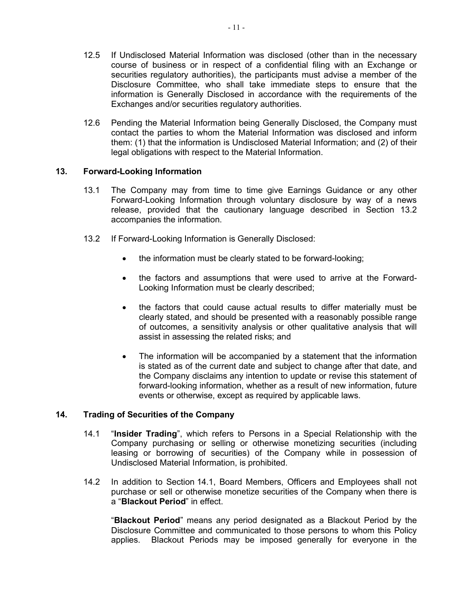- 12.5 If Undisclosed Material Information was disclosed (other than in the necessary course of business or in respect of a confidential filing with an Exchange or securities regulatory authorities), the participants must advise a member of the Disclosure Committee, who shall take immediate steps to ensure that the information is Generally Disclosed in accordance with the requirements of the Exchanges and/or securities regulatory authorities.
- 12.6 Pending the Material Information being Generally Disclosed, the Company must contact the parties to whom the Material Information was disclosed and inform them: (1) that the information is Undisclosed Material Information; and (2) of their legal obligations with respect to the Material Information.

# 13. Forward-Looking Information

- 13.1 The Company may from time to time give Earnings Guidance or any other Forward-Looking Information through voluntary disclosure by way of a news release, provided that the cautionary language described in Section 13.2 accompanies the information.
- 13.2 If Forward-Looking Information is Generally Disclosed:
	- the information must be clearly stated to be forward-looking;
	- the factors and assumptions that were used to arrive at the Forward-Looking Information must be clearly described;
	- the factors that could cause actual results to differ materially must be clearly stated, and should be presented with a reasonably possible range of outcomes, a sensitivity analysis or other qualitative analysis that will assist in assessing the related risks; and
	- The information will be accompanied by a statement that the information is stated as of the current date and subject to change after that date, and the Company disclaims any intention to update or revise this statement of forward-looking information, whether as a result of new information, future events or otherwise, except as required by applicable laws.

# 14. Trading of Securities of the Company

- 14.1 "Insider Trading", which refers to Persons in a Special Relationship with the Company purchasing or selling or otherwise monetizing securities (including leasing or borrowing of securities) of the Company while in possession of Undisclosed Material Information, is prohibited.
- 14.2 In addition to Section 14.1, Board Members, Officers and Employees shall not purchase or sell or otherwise monetize securities of the Company when there is a "Blackout Period" in effect.

"Blackout Period" means any period designated as a Blackout Period by the Disclosure Committee and communicated to those persons to whom this Policy applies. Blackout Periods may be imposed generally for everyone in the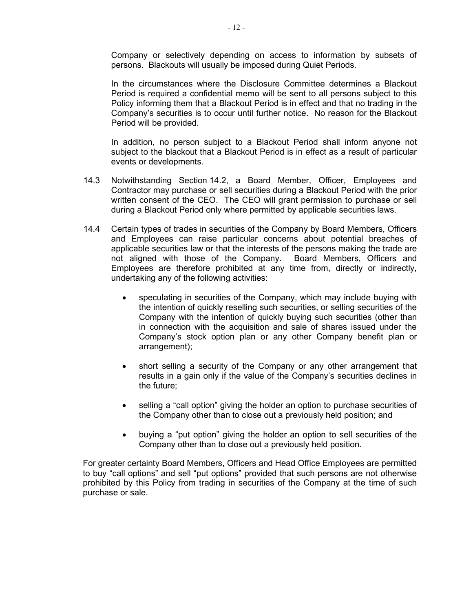Company or selectively depending on access to information by subsets of persons. Blackouts will usually be imposed during Quiet Periods.

In the circumstances where the Disclosure Committee determines a Blackout Period is required a confidential memo will be sent to all persons subject to this Policy informing them that a Blackout Period is in effect and that no trading in the Company's securities is to occur until further notice. No reason for the Blackout Period will be provided.

In addition, no person subject to a Blackout Period shall inform anyone not subject to the blackout that a Blackout Period is in effect as a result of particular events or developments.

- 14.3 Notwithstanding Section 14.2, a Board Member, Officer, Employees and Contractor may purchase or sell securities during a Blackout Period with the prior written consent of the CEO. The CEO will grant permission to purchase or sell during a Blackout Period only where permitted by applicable securities laws.
- 14.4 Certain types of trades in securities of the Company by Board Members, Officers and Employees can raise particular concerns about potential breaches of applicable securities law or that the interests of the persons making the trade are not aligned with those of the Company. Board Members, Officers and Employees are therefore prohibited at any time from, directly or indirectly, undertaking any of the following activities:
	- speculating in securities of the Company, which may include buying with the intention of quickly reselling such securities, or selling securities of the Company with the intention of quickly buying such securities (other than in connection with the acquisition and sale of shares issued under the Company's stock option plan or any other Company benefit plan or arrangement);
	- short selling a security of the Company or any other arrangement that results in a gain only if the value of the Company's securities declines in the future;
	- selling a "call option" giving the holder an option to purchase securities of the Company other than to close out a previously held position; and
	- buying a "put option" giving the holder an option to sell securities of the Company other than to close out a previously held position.

For greater certainty Board Members, Officers and Head Office Employees are permitted to buy "call options" and sell "put options" provided that such persons are not otherwise prohibited by this Policy from trading in securities of the Company at the time of such purchase or sale.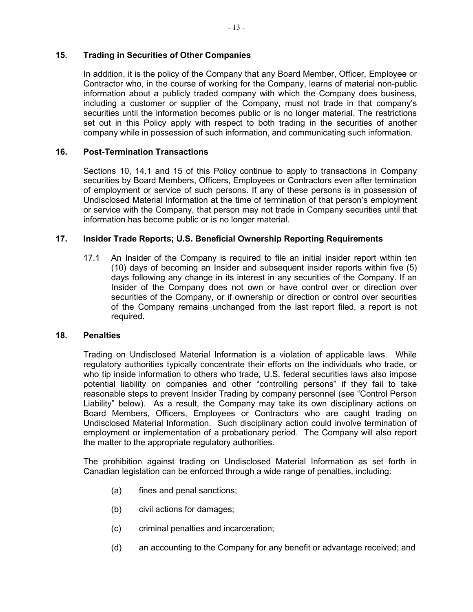# 15. Trading in Securities of Other Companies

In addition, it is the policy of the Company that any Board Member, Officer, Employee or Contractor who, in the course of working for the Company, learns of material non-public information about a publicly traded company with which the Company does business, including a customer or supplier of the Company, must not trade in that company's securities until the information becomes public or is no longer material. The restrictions set out in this Policy apply with respect to both trading in the securities of another company while in possession of such information, and communicating such information.

# 16. Post-Termination Transactions

Sections 10, 14.1 and 15 of this Policy continue to apply to transactions in Company securities by Board Members, Officers, Employees or Contractors even after termination of employment or service of such persons. If any of these persons is in possession of Undisclosed Material Information at the time of termination of that person's employment or service with the Company, that person may not trade in Company securities until that information has become public or is no longer material.

### 17. Insider Trade Reports; U.S. Beneficial Ownership Reporting Requirements

17.1 An Insider of the Company is required to file an initial insider report within ten (10) days of becoming an Insider and subsequent insider reports within five (5) days following any change in its interest in any securities of the Company. If an Insider of the Company does not own or have control over or direction over securities of the Company, or if ownership or direction or control over securities of the Company remains unchanged from the last report filed, a report is not required.

#### 18. Penalties

Trading on Undisclosed Material Information is a violation of applicable laws. While regulatory authorities typically concentrate their efforts on the individuals who trade, or who tip inside information to others who trade, U.S. federal securities laws also impose potential liability on companies and other "controlling persons" if they fail to take reasonable steps to prevent Insider Trading by company personnel (see "Control Person Liability" below). As a result, the Company may take its own disciplinary actions on Board Members, Officers, Employees or Contractors who are caught trading on Undisclosed Material Information. Such disciplinary action could involve termination of employment or implementation of a probationary period. The Company will also report the matter to the appropriate regulatory authorities.

The prohibition against trading on Undisclosed Material Information as set forth in Canadian legislation can be enforced through a wide range of penalties, including:

- (a) fines and penal sanctions;
- (b) civil actions for damages;
- (c) criminal penalties and incarceration;
- (d) an accounting to the Company for any benefit or advantage received; and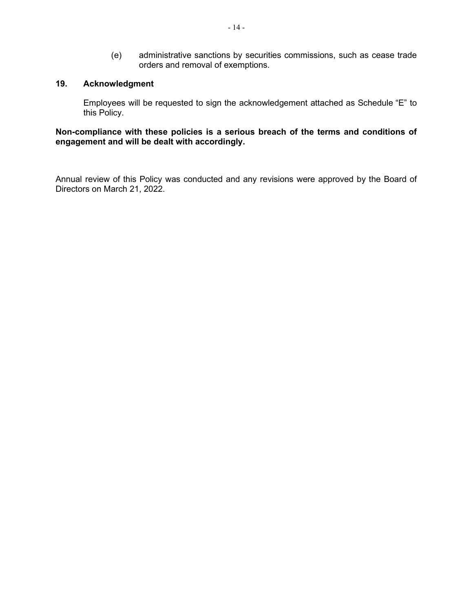(e) administrative sanctions by securities commissions, such as cease trade orders and removal of exemptions.

#### 19. Acknowledgment

Employees will be requested to sign the acknowledgement attached as Schedule "E" to this Policy.

Non-compliance with these policies is a serious breach of the terms and conditions of engagement and will be dealt with accordingly.

Annual review of this Policy was conducted and any revisions were approved by the Board of Directors on March 21, 2022.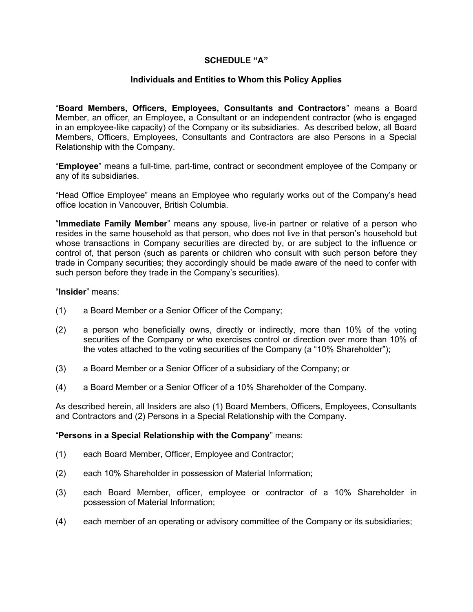# SCHEDULE "A"

### Individuals and Entities to Whom this Policy Applies

"Board Members, Officers, Employees, Consultants and Contractors" means a Board Member, an officer, an Employee, a Consultant or an independent contractor (who is engaged in an employee-like capacity) of the Company or its subsidiaries. As described below, all Board Members, Officers, Employees, Consultants and Contractors are also Persons in a Special Relationship with the Company.

"Employee" means a full-time, part-time, contract or secondment employee of the Company or any of its subsidiaries.

"Head Office Employee" means an Employee who regularly works out of the Company's head office location in Vancouver, British Columbia.

"Immediate Family Member" means any spouse, live-in partner or relative of a person who resides in the same household as that person, who does not live in that person's household but whose transactions in Company securities are directed by, or are subject to the influence or control of, that person (such as parents or children who consult with such person before they trade in Company securities; they accordingly should be made aware of the need to confer with such person before they trade in the Company's securities).

#### "Insider" means:

- (1) a Board Member or a Senior Officer of the Company;
- (2) a person who beneficially owns, directly or indirectly, more than 10% of the voting securities of the Company or who exercises control or direction over more than 10% of the votes attached to the voting securities of the Company (a "10% Shareholder");
- (3) a Board Member or a Senior Officer of a subsidiary of the Company; or
- (4) a Board Member or a Senior Officer of a 10% Shareholder of the Company.

As described herein, all Insiders are also (1) Board Members, Officers, Employees, Consultants and Contractors and (2) Persons in a Special Relationship with the Company.

#### "Persons in a Special Relationship with the Company" means:

- (1) each Board Member, Officer, Employee and Contractor;
- (2) each 10% Shareholder in possession of Material Information;
- (3) each Board Member, officer, employee or contractor of a 10% Shareholder in possession of Material Information;
- (4) each member of an operating or advisory committee of the Company or its subsidiaries;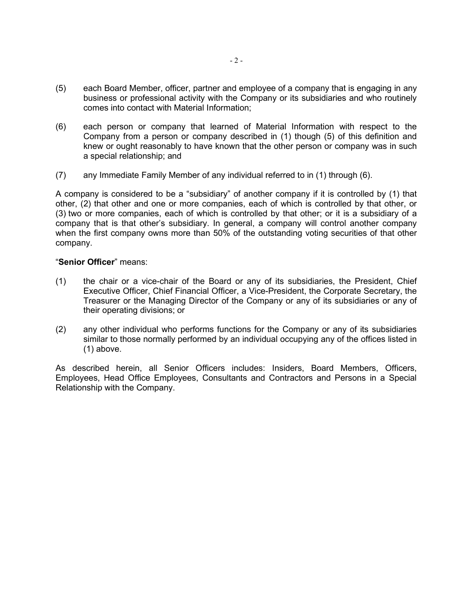- (5) each Board Member, officer, partner and employee of a company that is engaging in any business or professional activity with the Company or its subsidiaries and who routinely comes into contact with Material Information;
- (6) each person or company that learned of Material Information with respect to the Company from a person or company described in (1) though (5) of this definition and knew or ought reasonably to have known that the other person or company was in such a special relationship; and
- (7) any Immediate Family Member of any individual referred to in (1) through (6).

A company is considered to be a "subsidiary" of another company if it is controlled by (1) that other, (2) that other and one or more companies, each of which is controlled by that other, or (3) two or more companies, each of which is controlled by that other; or it is a subsidiary of a company that is that other's subsidiary. In general, a company will control another company when the first company owns more than 50% of the outstanding voting securities of that other company.

#### "Senior Officer" means:

- (1) the chair or a vice-chair of the Board or any of its subsidiaries, the President, Chief Executive Officer, Chief Financial Officer, a Vice-President, the Corporate Secretary, the Treasurer or the Managing Director of the Company or any of its subsidiaries or any of their operating divisions; or
- (2) any other individual who performs functions for the Company or any of its subsidiaries similar to those normally performed by an individual occupying any of the offices listed in (1) above.

As described herein, all Senior Officers includes: Insiders, Board Members, Officers, Employees, Head Office Employees, Consultants and Contractors and Persons in a Special Relationship with the Company.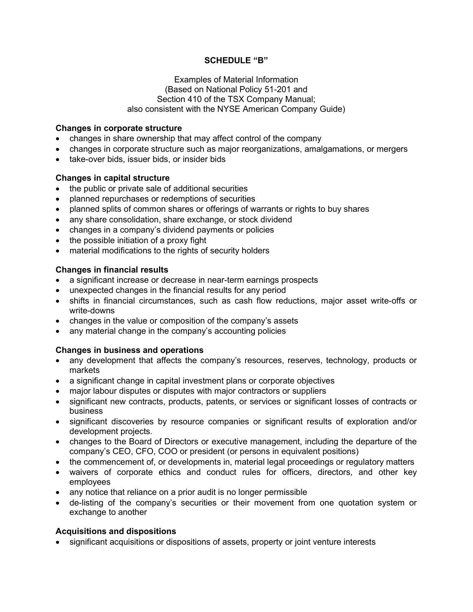# SCHEDULE "B"

#### Examples of Material Information (Based on National Policy 51-201 and Section 410 of the TSX Company Manual; also consistent with the NYSE American Company Guide)

#### Changes in corporate structure

- changes in share ownership that may affect control of the company
- changes in corporate structure such as major reorganizations, amalgamations, or mergers
- take-over bids, issuer bids, or insider bids

#### Changes in capital structure

- the public or private sale of additional securities
- planned repurchases or redemptions of securities
- planned splits of common shares or offerings of warrants or rights to buy shares
- any share consolidation, share exchange, or stock dividend
- changes in a company's dividend payments or policies
- the possible initiation of a proxy fight
- material modifications to the rights of security holders

### Changes in financial results

- a significant increase or decrease in near-term earnings prospects
- unexpected changes in the financial results for any period
- shifts in financial circumstances, such as cash flow reductions, major asset write-offs or write-downs
- changes in the value or composition of the company's assets
- any material change in the company's accounting policies

# Changes in business and operations

- any development that affects the company's resources, reserves, technology, products or markets
- a significant change in capital investment plans or corporate objectives
- major labour disputes or disputes with major contractors or suppliers
- significant new contracts, products, patents, or services or significant losses of contracts or business
- significant discoveries by resource companies or significant results of exploration and/or development projects.
- changes to the Board of Directors or executive management, including the departure of the company's CEO, CFO, COO or president (or persons in equivalent positions)
- the commencement of, or developments in, material legal proceedings or regulatory matters
- waivers of corporate ethics and conduct rules for officers, directors, and other key employees
- any notice that reliance on a prior audit is no longer permissible
- de-listing of the company's securities or their movement from one quotation system or exchange to another

# Acquisitions and dispositions

significant acquisitions or dispositions of assets, property or joint venture interests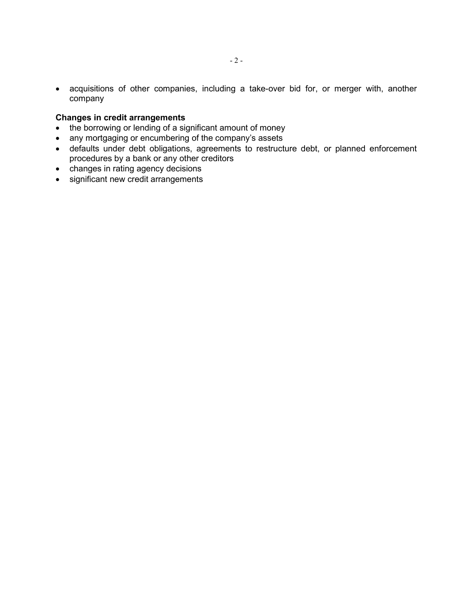acquisitions of other companies, including a take-over bid for, or merger with, another company

# Changes in credit arrangements

- the borrowing or lending of a significant amount of money
- any mortgaging or encumbering of the company's assets
- defaults under debt obligations, agreements to restructure debt, or planned enforcement procedures by a bank or any other creditors
- changes in rating agency decisions
- significant new credit arrangements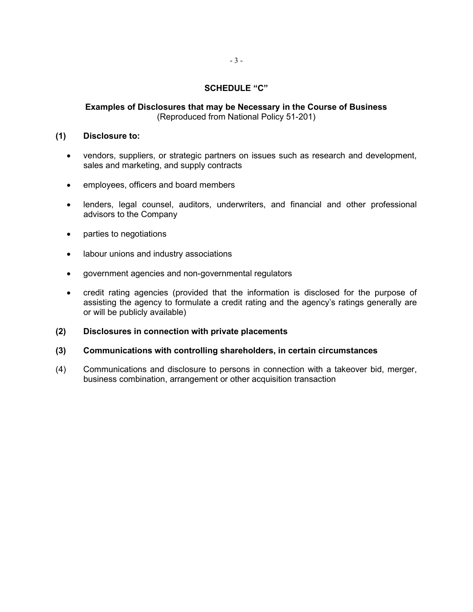#### SCHEDULE "C"

# Examples of Disclosures that may be Necessary in the Course of Business (Reproduced from National Policy 51-201)

#### (1) Disclosure to:

- vendors, suppliers, or strategic partners on issues such as research and development, sales and marketing, and supply contracts
- employees, officers and board members
- lenders, legal counsel, auditors, underwriters, and financial and other professional advisors to the Company
- parties to negotiations
- labour unions and industry associations
- government agencies and non-governmental regulators
- credit rating agencies (provided that the information is disclosed for the purpose of assisting the agency to formulate a credit rating and the agency's ratings generally are or will be publicly available)
- (2) Disclosures in connection with private placements
- (3) Communications with controlling shareholders, in certain circumstances
- (4) Communications and disclosure to persons in connection with a takeover bid, merger, business combination, arrangement or other acquisition transaction